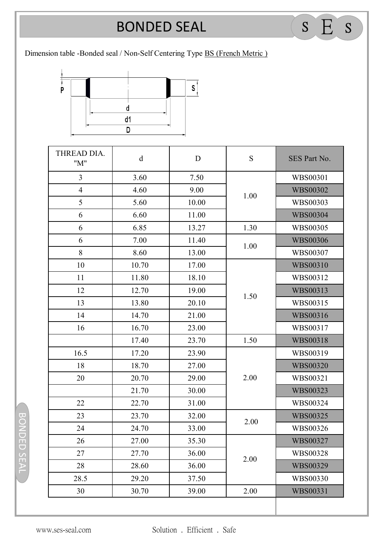## **BONDED SEAL** BONDED SEAL <sup>S</sup> E <sup>S</sup>

Dimension table -Bonded seal / Non-Self Centering Type BS (French Metric )



| THREAD DIA.<br>"M" | $\rm d$ | D     | S    | SES Part No.    |
|--------------------|---------|-------|------|-----------------|
| $\overline{3}$     | 3.60    | 7.50  | 1.00 | WBS00301        |
| $\overline{4}$     | 4.60    | 9.00  |      | <b>WBS00302</b> |
| 5                  | 5.60    | 10.00 |      | WBS00303        |
| 6                  | 6.60    | 11.00 |      | <b>WBS00304</b> |
| 6                  | 6.85    | 13.27 | 1.30 | WBS00305        |
| 6                  | 7.00    | 11.40 | 1.00 | <b>WBS00306</b> |
| 8                  | 8.60    | 13.00 |      | WBS00307        |
| 10                 | 10.70   | 17.00 | 1.50 | WBS00310        |
| 11                 | 11.80   | 18.10 |      | WBS00312        |
| 12                 | 12.70   | 19.00 |      | WBS00313        |
| 13                 | 13.80   | 20.10 |      | WBS00315        |
| 14                 | 14.70   | 21.00 |      | WBS00316        |
| 16                 | 16.70   | 23.00 |      | WBS00317        |
|                    | 17.40   | 23.70 | 1.50 | <b>WBS00318</b> |
| 16.5               | 17.20   | 23.90 | 2.00 | WBS00319        |
| 18                 | 18.70   | 27.00 |      | <b>WBS00320</b> |
| 20                 | 20.70   | 29.00 |      | WBS00321        |
|                    | 21.70   | 30.00 |      | WBS00323        |
| 22                 | 22.70   | 31.00 |      | WBS00324        |
| 23                 | 23.70   | 32.00 | 2.00 | <b>WBS00325</b> |
| 24                 | 24.70   | 33.00 |      | WBS00326        |
| 26                 | 27.00   | 35.30 | 2.00 | <b>WBS00327</b> |
| 27                 | 27.70   | 36.00 |      | WBS00328        |
| 28                 | 28.60   | 36.00 |      | WBS00329        |
| 28.5               | 29.20   | 37.50 |      | WBS00330        |
| 30                 | 30.70   | 39.00 | 2.00 | WBS00331        |

BONDED SEAL BONDED SEAL